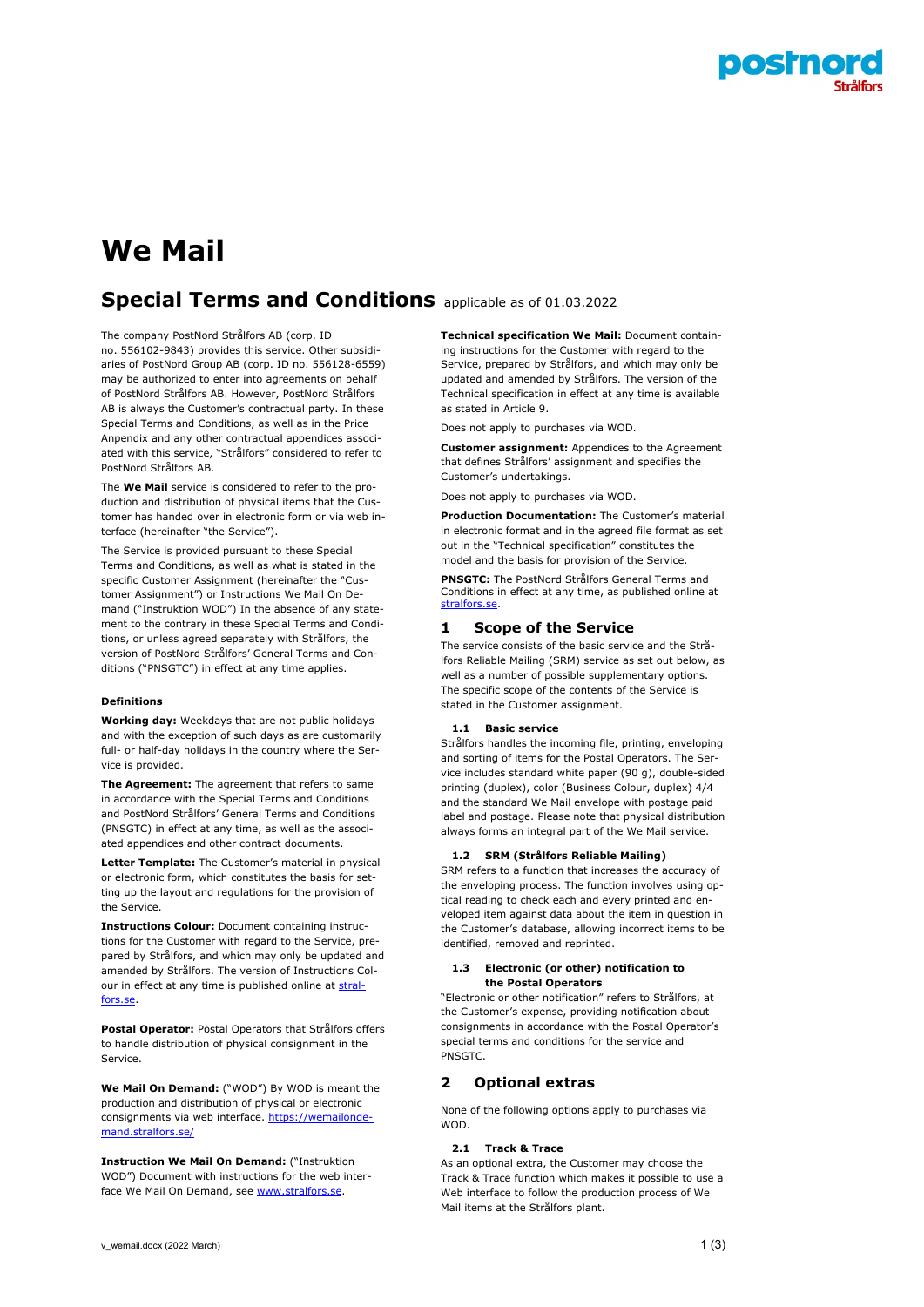

# **We Mail**

# **Special Terms and Conditions** applicable as of 01.03.2022

The company PostNord Strålfors AB (corp. ID no. 556102-9843) provides this service. Other subsidiaries of PostNord Group AB (corp. ID no. 556128-6559) may be authorized to enter into agreements on behalf of PostNord Strålfors AB. However, PostNord Strålfors AB is always the Customer's contractual party. In these Special Terms and Conditions, as well as in the Price Anpendix and any other contractual appendices associated with this service, "Strålfors" considered to refer to PostNord Strålfors AB.

The **We Mail** service is considered to refer to the production and distribution of physical items that the Customer has handed over in electronic form or via web interface (hereinafter "the Service").

The Service is provided pursuant to these Special Terms and Conditions, as well as what is stated in the specific Customer Assignment (hereinafter the "Customer Assignment") or Instructions We Mail On Demand ("Instruktion WOD") In the absence of any statement to the contrary in these Special Terms and Conditions, or unless agreed separately with Strålfors, the version of PostNord Strålfors' General Terms and Conditions ("PNSGTC") in effect at any time applies.

# **Definitions**

**Working day:** Weekdays that are not public holidays and with the exception of such days as are customarily full- or half-day holidays in the country where the Service is provided.

**The Agreement:** The agreement that refers to same in accordance with the Special Terms and Conditions and PostNord Strålfors' General Terms and Conditions (PNSGTC) in effect at any time, as well as the associated appendices and other contract documents.

**Letter Template:** The Customer's material in physical or electronic form, which constitutes the basis for setting up the layout and regulations for the provision of the Service.

**Instructions Colour:** Document containing instructions for the Customer with regard to the Service, prepared by Strålfors, and which may only be updated and amended by Strålfors. The version of Instructions Colour in effect at any time is published online at [stral](https://www.stralfors.se/om-oss/Villkor-och-Material/)[fors.se.](https://www.stralfors.se/om-oss/Villkor-och-Material/)

**Postal Operator:** Postal Operators that Strålfors offers to handle distribution of physical consignment in the Service.

**We Mail On Demand:** ("WOD") By WOD is meant the production and distribution of physical or electronic consignments via web interface. [https://wemailonde](https://wemailondemand.stralfors.se/)[mand.stralfors.se/](https://wemailondemand.stralfors.se/)

**Instruction We Mail On Demand:** ("Instruktion WOD") Document with instructions for the web interface We Mail On Demand, se[e www.stralfors.se.](https://www.stralfors.se/om-oss/Villkor-och-Material/) 

**Technical specification We Mail:** Document containing instructions for the Customer with regard to the Service, prepared by Strålfors, and which may only be updated and amended by Strålfors. The version of the Technical specification in effect at any time is available as stated in Article 9.

Does not apply to purchases via WOD.

**Customer assignment:** Appendices to the Agreement that defines Strålfors' assignment and specifies the Customer's undertakings.

Does not apply to purchases via WOD.

**Production Documentation:** The Customer's material in electronic format and in the agreed file format as set out in the "Technical specification" constitutes the model and the basis for provision of the Service.

**PNSGTC:** The PostNord Strålfors General Terms and Conditions in effect at any time, as published online at stralfors.se

# **1 Scope of the Service**

The service consists of the basic service and the Strålfors Reliable Mailing (SRM) service as set out below, as well as a number of possible supplementary options. The specific scope of the contents of the Service is stated in the Customer assignment.

### **1.1 Basic service**

Strålfors handles the incoming file, printing, enveloping and sorting of items for the Postal Operators. The Service includes standard white paper (90 g), double-sided printing (duplex), color (Business Colour, duplex) 4/4 and the standard We Mail envelope with postage paid label and postage. Please note that physical distribution always forms an integral part of the We Mail service.

# **1.2 SRM (Strålfors Reliable Mailing)**

SRM refers to a function that increases the accuracy of the enveloping process. The function involves using optical reading to check each and every printed and enveloped item against data about the item in question in the Customer's database, allowing incorrect items to be identified, removed and reprinted.

#### **1.3 Electronic (or other) notification to the Postal Operators**

"Electronic or other notification" refers to Strålfors, at the Customer's expense, providing notification about consignments in accordance with the Postal Operator's special terms and conditions for the service and **PNSGTC** 

# **2 Optional extras**

None of the following options apply to purchases via WOD.

#### **2.1 Track & Trace**

As an optional extra, the Customer may choose the Track & Trace function which makes it possible to use a Web interface to follow the production process of We Mail items at the Strålfors plant.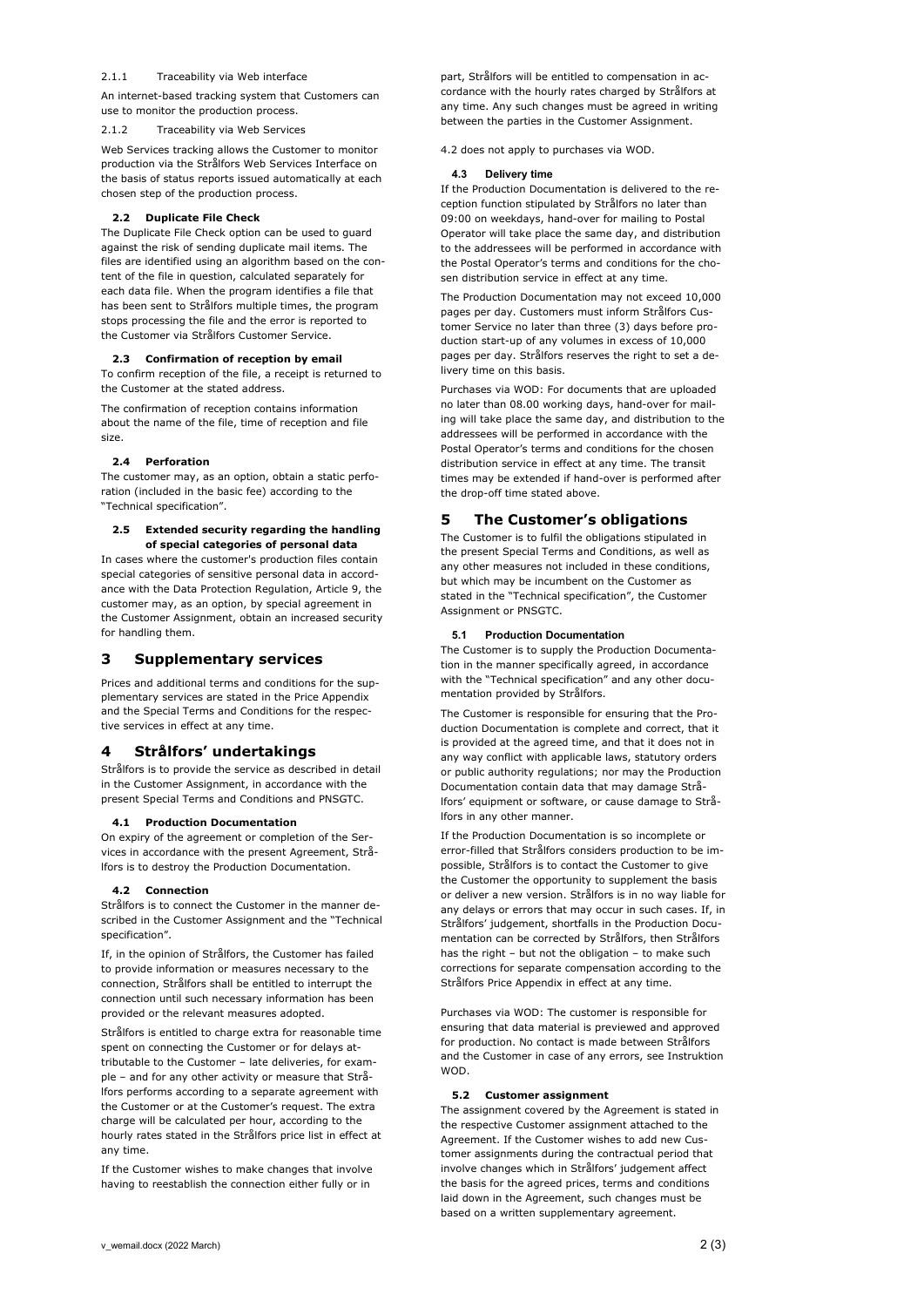#### 2.1.1 Traceability via Web interface

An internet-based tracking system that Customers can use to monitor the production process.

#### Traceability via Web Services

Web Services tracking allows the Customer to monitor production via the Strålfors Web Services Interface on the basis of status reports issued automatically at each chosen step of the production process.

# **2.2 Duplicate File Check**

The Duplicate File Check option can be used to guard against the risk of sending duplicate mail items. The files are identified using an algorithm based on the content of the file in question, calculated separately for each data file. When the program identifies a file that has been sent to Strålfors multiple times, the program stops processing the file and the error is reported to the Customer via Strålfors Customer Service.

#### **2.3 Confirmation of reception by email**

To confirm reception of the file, a receipt is returned to the Customer at the stated address.

The confirmation of reception contains information about the name of the file, time of reception and file size.

#### **2.4 Perforation**

The customer may, as an option, obtain a static perforation (included in the basic fee) according to the "Technical specification".

#### **2.5 Extended security regarding the handling of special categories of personal data**

In cases where the customer's production files contain special categories of sensitive personal data in accordance with the Data Protection Regulation, Article 9, the customer may, as an option, by special agreement in the Customer Assignment, obtain an increased security for handling them.

# **3 Supplementary services**

Prices and additional terms and conditions for the supplementary services are stated in the Price Appendix and the Special Terms and Conditions for the respective services in effect at any time.

# **4 Strålfors' undertakings**

Strålfors is to provide the service as described in detail in the Customer Assignment, in accordance with the present Special Terms and Conditions and PNSGTC.

# **4.1 Production Documentation**

On expiry of the agreement or completion of the Services in accordance with the present Agreement, Strålfors is to destroy the Production Documentation.

#### **4.2 Connection**

Strålfors is to connect the Customer in the manner described in the Customer Assignment and the "Technical specification".

If, in the opinion of Strålfors, the Customer has failed to provide information or measures necessary to the connection, Strålfors shall be entitled to interrupt the connection until such necessary information has been provided or the relevant measures adopted.

Strålfors is entitled to charge extra for reasonable time spent on connecting the Customer or for delays attributable to the Customer – late deliveries, for example – and for any other activity or measure that Strålfors performs according to a separate agreement with the Customer or at the Customer's request. The extra charge will be calculated per hour, according to the hourly rates stated in the Strålfors price list in effect at any time.

If the Customer wishes to make changes that involve having to reestablish the connection either fully or in

part, Strålfors will be entitled to compensation in accordance with the hourly rates charged by Strålfors at any time. Any such changes must be agreed in writing between the parties in the Customer Assignment.

4.2 does not apply to purchases via WOD.

#### **4.3 Delivery time**

If the Production Documentation is delivered to the reception function stipulated by Strålfors no later than 09:00 on weekdays, hand-over for mailing to Postal Operator will take place the same day, and distribution to the addressees will be performed in accordance with the Postal Operator's terms and conditions for the chosen distribution service in effect at any time.

The Production Documentation may not exceed 10,000 pages per day. Customers must inform Strålfors Customer Service no later than three (3) days before production start-up of any volumes in excess of 10,000 pages per day. Strålfors reserves the right to set a delivery time on this basis.

Purchases via WOD: For documents that are uploaded no later than 08.00 working days, hand-over for mailing will take place the same day, and distribution to the addressees will be performed in accordance with the Postal Operator's terms and conditions for the chosen distribution service in effect at any time. The transit times may be extended if hand-over is performed after the drop-off time stated above.

# **5 The Customer's obligations**

The Customer is to fulfil the obligations stipulated in the present Special Terms and Conditions, as well as any other measures not included in these conditions, but which may be incumbent on the Customer as stated in the "Technical specification", the Customer Assignment or PNSGTC.

### **5.1 Production Documentation**

The Customer is to supply the Production Documentation in the manner specifically agreed, in accordance with the "Technical specification" and any other documentation provided by Strålfors.

The Customer is responsible for ensuring that the Production Documentation is complete and correct, that it is provided at the agreed time, and that it does not in any way conflict with applicable laws, statutory orders or public authority regulations; nor may the Production Documentation contain data that may damage Strålfors' equipment or software, or cause damage to Strålfors in any other manner.

If the Production Documentation is so incomplete or error-filled that Strålfors considers production to be impossible, Strålfors is to contact the Customer to give the Customer the opportunity to supplement the basis or deliver a new version. Strålfors is in no way liable for any delays or errors that may occur in such cases. If, in Strålfors' judgement, shortfalls in the Production Documentation can be corrected by Strålfors, then Strålfors has the right – but not the obligation – to make such corrections for separate compensation according to the Strålfors Price Appendix in effect at any time.

Purchases via WOD: The customer is responsible for ensuring that data material is previewed and approved for production. No contact is made between Strålfors and the Customer in case of any errors, see Instruktion WOD.

# **5.2 Customer assignment**

The assignment covered by the Agreement is stated in the respective Customer assignment attached to the Agreement. If the Customer wishes to add new Customer assignments during the contractual period that involve changes which in Strålfors' judgement affect the basis for the agreed prices, terms and conditions laid down in the Agreement, such changes must be based on a written supplementary agreement.